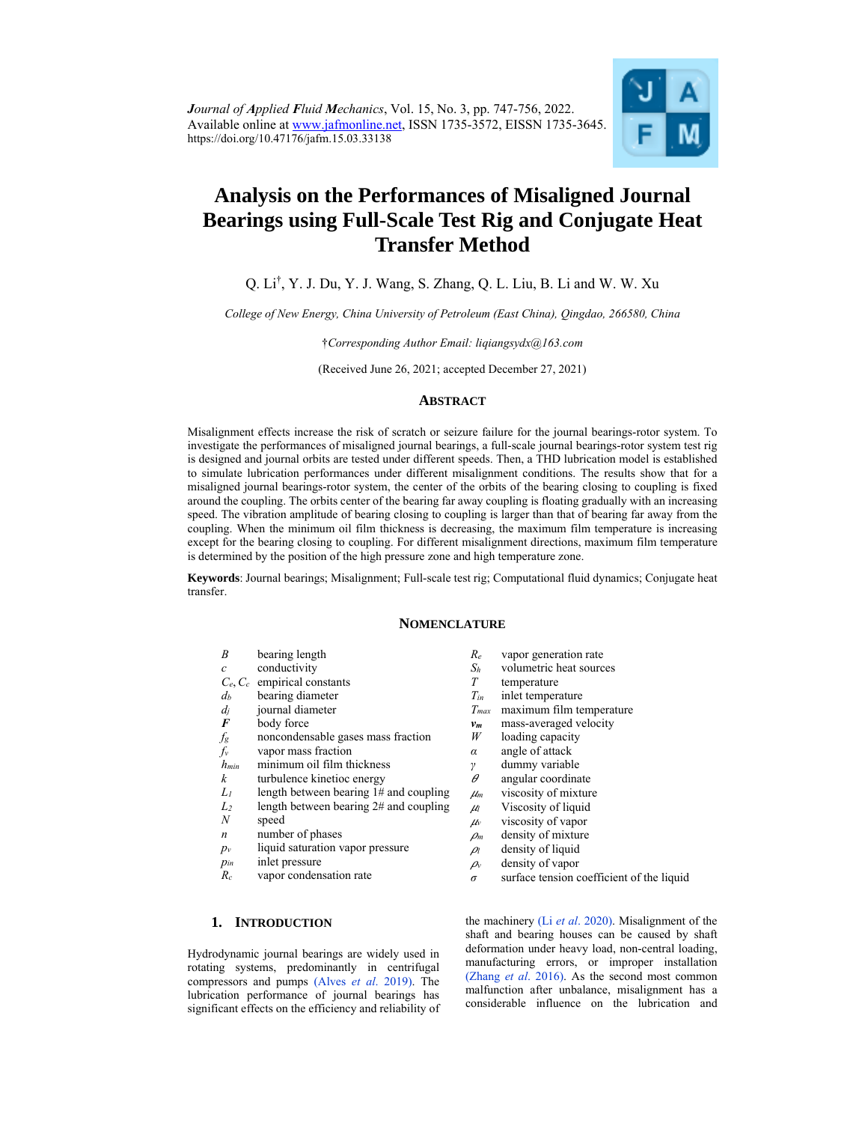

# **Analysis on the Performances of Misaligned Journal Bearings using Full-Scale Test Rig and Conjugate Heat Transfer Method**

# Q. Li† , Y. J. Du, Y. J. Wang, S. Zhang, Q. L. Liu, B. Li and W. W. Xu

*College of New Energy, China University of Petroleum (East China), Qingdao, 266580, China* 

†*Corresponding Author Email: liqiangsydx@163.com* 

(Received June 26, 2021; accepted December 27, 2021)

## **ABSTRACT**

Misalignment effects increase the risk of scratch or seizure failure for the journal bearings-rotor system. To investigate the performances of misaligned journal bearings, a full-scale journal bearings-rotor system test rig is designed and journal orbits are tested under different speeds. Then, a THD lubrication model is established to simulate lubrication performances under different misalignment conditions. The results show that for a misaligned journal bearings-rotor system, the center of the orbits of the bearing closing to coupling is fixed around the coupling. The orbits center of the bearing far away coupling is floating gradually with an increasing speed. The vibration amplitude of bearing closing to coupling is larger than that of bearing far away from the coupling. When the minimum oil film thickness is decreasing, the maximum film temperature is increasing except for the bearing closing to coupling. For different misalignment directions, maximum film temperature is determined by the position of the high pressure zone and high temperature zone.

**Keywords**: Journal bearings; Misalignment; Full-scale test rig; Computational fluid dynamics; Conjugate heat transfer.

# **NOMENCLATURE**

- *B* bearing length
- *c* conductivity
- *Ce*, *Cc* empirical constants
- *db* bearing diameter
- $d_j$  journal diameter<br>**F** body force
- **body** force
- *fg* noncondensable gases mass fraction
- 
- $f_v$  vapor mass fraction<br> $h_{min}$  minimum oil film th *hmin* minimum oil film thickness
- *k* turbulence kinetioc energy
- *L1* length between bearing 1# and coupling
- *L2* length between bearing 2# and coupling
- *N* speed
- *n* number of phases
- *pv* liquid saturation vapor pressure
- *pin* inlet pressure
- *Rc* vapor condensation rate
	-

## **1. INTRODUCTION**

Hydrodynamic journal bearings are widely used in rotating systems, predominantly in centrifugal compressors and pumps (Alves *et al*. 2019). The lubrication performance of journal bearings has significant effects on the efficiency and reliability of

*Sh* volumetric heat sources *T* temperature

*Re* vapor generation rate

- 
- $T_{in}$  inlet temperature<br> $T_{max}$  maximum film te maximum film temperature
- *vm* mass-averaged velocity
- *W* loading capacity
- *α* angle of attack
- 
- *γ* dummy variable<br>*θ* angular coordina ߠ angular coordinate
- $\mu_m$  viscosity of mixture
- $μ$  Viscosity of liquid
- <sup>ߤ</sup>*<sup>v</sup>* viscosity of vapor
- $\rho_m$  density of mixture
- $\rho_l$  density of liquid
- $\rho$ <sup>*v*</sup> density of vapor
- *σ* surface tension coefficient of the liquid

the machinery (Li *et al*. 2020). Misalignment of the shaft and bearing houses can be caused by shaft deformation under heavy load, non-central loading, manufacturing errors, or improper installation (Zhang *et al*. 2016). As the second most common malfunction after unbalance, misalignment has a considerable influence on the lubrication and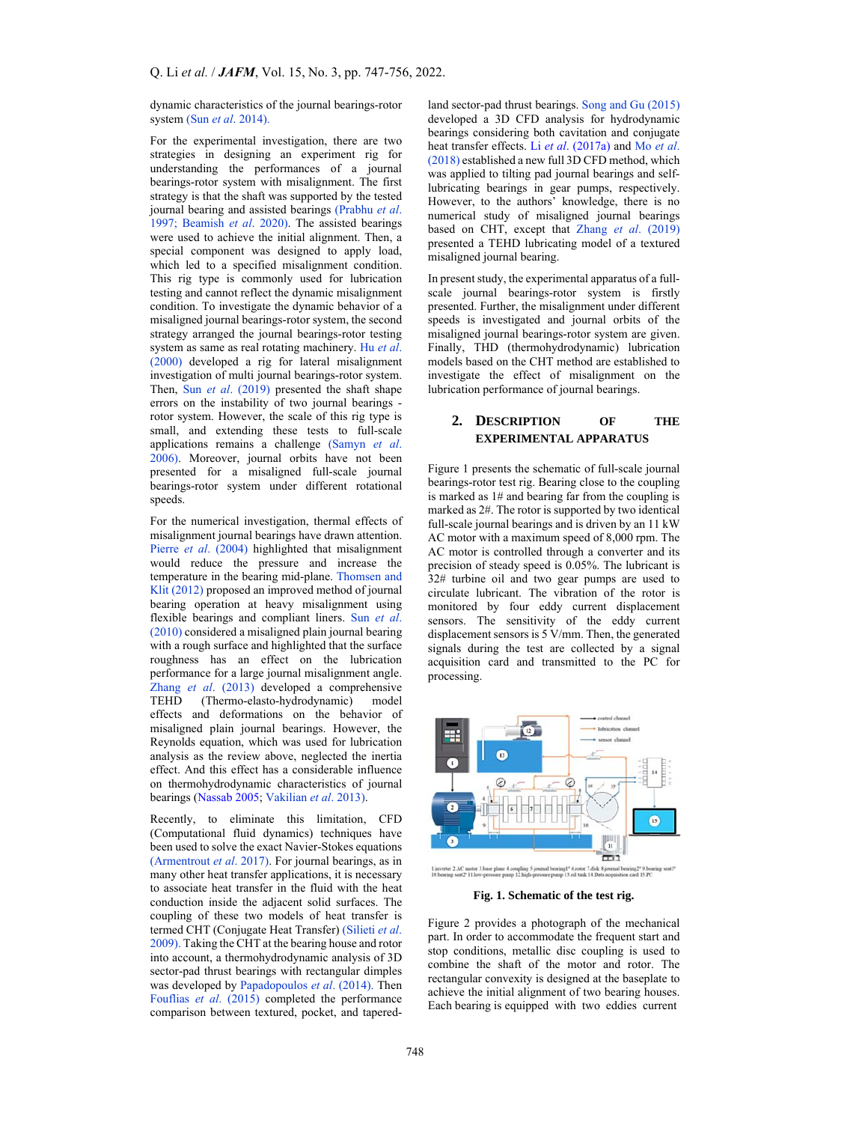dynamic characteristics of the journal bearings-rotor system (Sun *et al*. 2014).

For the experimental investigation, there are two strategies in designing an experiment rig for understanding the performances of a journal bearings-rotor system with misalignment. The first strategy is that the shaft was supported by the tested journal bearing and assisted bearings (Prabhu *et al*. 1997; Beamish *et al*. 2020). The assisted bearings were used to achieve the initial alignment. Then, a special component was designed to apply load, which led to a specified misalignment condition. This rig type is commonly used for lubrication testing and cannot reflect the dynamic misalignment condition. To investigate the dynamic behavior of a misaligned journal bearings-rotor system, the second strategy arranged the journal bearings-rotor testing system as same as real rotating machinery. Hu *et al*. (2000) developed a rig for lateral misalignment investigation of multi journal bearings-rotor system. Then, Sun *et al*. (2019) presented the shaft shape errors on the instability of two journal bearings rotor system. However, the scale of this rig type is small, and extending these tests to full-scale applications remains a challenge (Samyn *et al*. 2006). Moreover, journal orbits have not been presented for a misaligned full-scale journal bearings-rotor system under different rotational speeds.

For the numerical investigation, thermal effects of misalignment journal bearings have drawn attention. Pierre *et al*. (2004) highlighted that misalignment would reduce the pressure and increase the temperature in the bearing mid-plane. Thomsen and Klit (2012) proposed an improved method of journal bearing operation at heavy misalignment using flexible bearings and compliant liners. Sun *et al*. (2010) considered a misaligned plain journal bearing with a rough surface and highlighted that the surface roughness has an effect on the lubrication performance for a large journal misalignment angle. Zhang *et al.* (2013) developed a comprehensive<br>TEHD (Thermo-elasto-hydrodynamic) model (Thermo-elasto-hydrodynamic) model effects and deformations on the behavior of misaligned plain journal bearings. However, the Reynolds equation, which was used for lubrication analysis as the review above, neglected the inertia effect. And this effect has a considerable influence on thermohydrodynamic characteristics of journal bearings (Nassab 2005; Vakilian *et al*. 2013).

Recently, to eliminate this limitation, CFD (Computational fluid dynamics) techniques have been used to solve the exact Navier-Stokes equations (Armentrout *et al*. 2017). For journal bearings, as in many other heat transfer applications, it is necessary to associate heat transfer in the fluid with the heat conduction inside the adjacent solid surfaces. The coupling of these two models of heat transfer is termed CHT (Conjugate Heat Transfer) (Silieti *et al*. 2009). Taking the CHT at the bearing house and rotor into account, a thermohydrodynamic analysis of 3D sector-pad thrust bearings with rectangular dimples was developed by Papadopoulos *et al*. (2014). Then Fouflias *et al*. (2015) completed the performance comparison between textured, pocket, and taperedland sector-pad thrust bearings. Song and Gu (2015) developed a 3D CFD analysis for hydrodynamic bearings considering both cavitation and conjugate heat transfer effects. Li *et al*. (2017a) and Mo *et al*. (2018) established a new full 3D CFD method, which was applied to tilting pad journal bearings and selflubricating bearings in gear pumps, respectively. However, to the authors' knowledge, there is no numerical study of misaligned journal bearings based on CHT, except that Zhang *et al*. (2019) presented a TEHD lubricating model of a textured misaligned journal bearing.

In present study, the experimental apparatus of a fullscale journal bearings-rotor system is firstly presented. Further, the misalignment under different speeds is investigated and journal orbits of the misaligned journal bearings-rotor system are given. Finally, THD (thermohydrodynamic) lubrication models based on the CHT method are established to investigate the effect of misalignment on the lubrication performance of journal bearings.

# **2. DESCRIPTION OF THE EXPERIMENTAL APPARATUS**

Figure 1 presents the schematic of full-scale journal bearings-rotor test rig. Bearing close to the coupling is marked as 1# and bearing far from the coupling is marked as 2#. The rotor is supported by two identical full-scale journal bearings and is driven by an 11 kW AC motor with a maximum speed of 8,000 rpm. The AC motor is controlled through a converter and its precision of steady speed is 0.05%. The lubricant is 32# turbine oil and two gear pumps are used to circulate lubricant. The vibration of the rotor is monitored by four eddy current displacement sensors. The sensitivity of the eddy current displacement sensors is 5 V/mm. Then, the generated signals during the test are collected by a signal acquisition card and transmitted to the PC for processing.



**Fig. 1. Schematic of the test rig.** 

Figure 2 provides a photograph of the mechanical part. In order to accommodate the frequent start and stop conditions, metallic disc coupling is used to combine the shaft of the motor and rotor. The rectangular convexity is designed at the baseplate to achieve the initial alignment of two bearing houses. Each bearing is equipped with two eddies current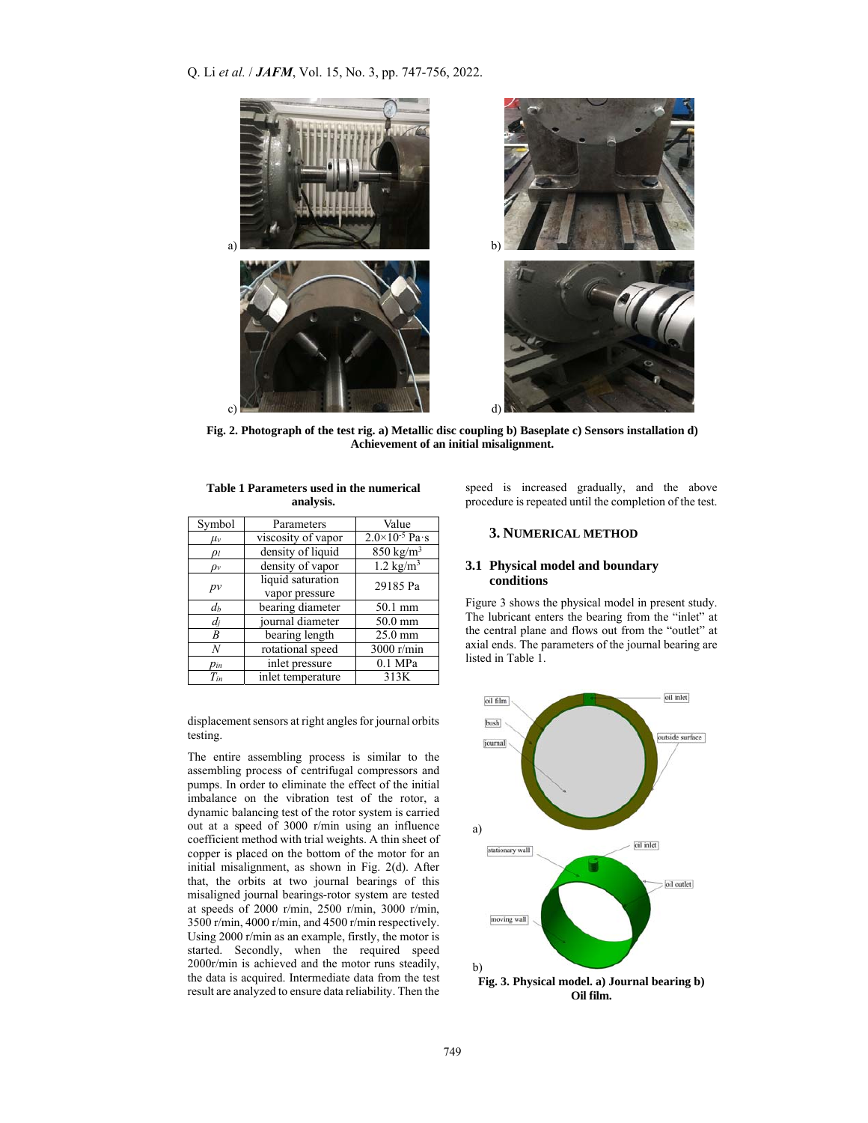Q. Li *et al.* / *JAFM*, Vol. 15, No. 3, pp. 747-756, 2022.



**Fig. 2. Photograph of the test rig. a) Metallic disc coupling b) Baseplate c) Sensors installation d) Achievement of an initial misalignment.** 

| Table 1 Parameters used in the numerical |  |  |  |  |  |
|------------------------------------------|--|--|--|--|--|
| analysis.                                |  |  |  |  |  |

| Symbol   | Parameters         | Value                     |  |
|----------|--------------------|---------------------------|--|
| $\mu_v$  | viscosity of vapor | $2.0 \times 10^{-5}$ Pa·s |  |
| $\rho_l$ | density of liquid  | $850 \text{ kg/m}^3$      |  |
| $\rho_v$ | density of vapor   | 1.2 $\text{kg/m}^3$       |  |
|          | liquid saturation  | 29185 Pa                  |  |
| $p\nu$   | vapor pressure     |                           |  |
| $d_b$    | bearing diameter   | 50.1 mm                   |  |
| $d_i$    | journal diameter   | 50.0 mm                   |  |
| B        | bearing length     | 25.0 mm                   |  |
| N        | rotational speed   | 3000 r/min                |  |
| $p_{in}$ | inlet pressure     | $0.1$ MPa                 |  |
| $T_{in}$ | inlet temperature  | 313K                      |  |

displacement sensors at right angles for journal orbits testing.

The entire assembling process is similar to the assembling process of centrifugal compressors and pumps. In order to eliminate the effect of the initial imbalance on the vibration test of the rotor, a dynamic balancing test of the rotor system is carried out at a speed of 3000 r/min using an influence coefficient method with trial weights. A thin sheet of copper is placed on the bottom of the motor for an initial misalignment, as shown in Fig. 2(d). After that, the orbits at two journal bearings of this misaligned journal bearings-rotor system are tested at speeds of 2000 r/min, 2500 r/min, 3000 r/min, 3500 r/min, 4000 r/min, and 4500 r/min respectively. Using 2000 r/min as an example, firstly, the motor is started. Secondly, when the required speed 2000r/min is achieved and the motor runs steadily, the data is acquired. Intermediate data from the test result are analyzed to ensure data reliability. Then the speed is increased gradually, and the above procedure is repeated until the completion of the test.

# **3. NUMERICAL METHOD**

## **3.1 Physical model and boundary conditions**

Figure 3 shows the physical model in present study. The lubricant enters the bearing from the "inlet" at the central plane and flows out from the "outlet" at axial ends. The parameters of the journal bearing are listed in Table 1.

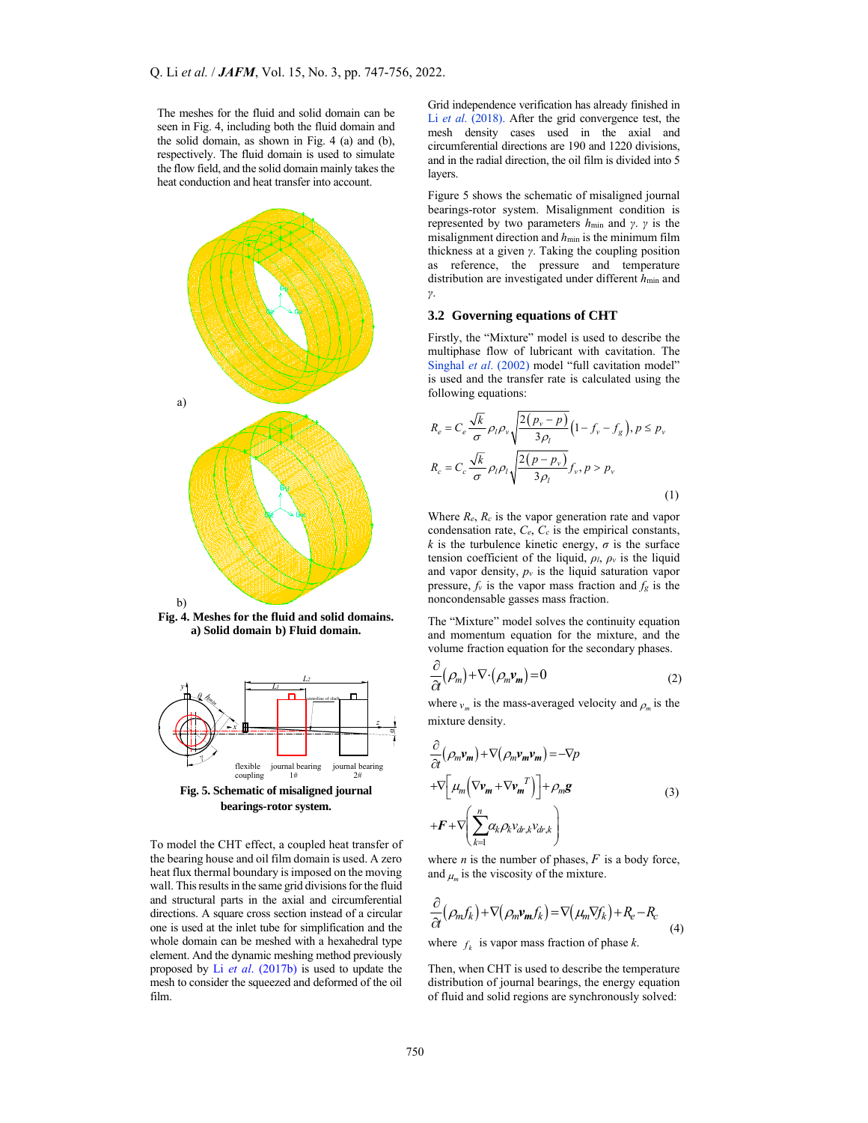The meshes for the fluid and solid domain can be seen in Fig. 4, including both the fluid domain and the solid domain, as shown in Fig. 4 (a) and (b), respectively. The fluid domain is used to simulate the flow field, and the solid domain mainly takes the heat conduction and heat transfer into account.



**Fig. 4. Meshes for the fluid and solid domains. a) Solid domain b) Fluid domain.** 



To model the CHT effect, a coupled heat transfer of the bearing house and oil film domain is used. A zero heat flux thermal boundary is imposed on the moving wall. This results in the same grid divisions for the fluid and structural parts in the axial and circumferential directions. A square cross section instead of a circular one is used at the inlet tube for simplification and the whole domain can be meshed with a hexahedral type element. And the dynamic meshing method previously proposed by Li *et al*. (2017b) is used to update the mesh to consider the squeezed and deformed of the oil film.

Grid independence verification has already finished in Li *et al*. (2018). After the grid convergence test, the mesh density cases used in the axial and circumferential directions are 190 and 1220 divisions, and in the radial direction, the oil film is divided into 5 layers.

Figure 5 shows the schematic of misaligned journal bearings-rotor system. Misalignment condition is represented by two parameters *h*min and *γ*. *γ* is the misalignment direction and *h*min is the minimum film thickness at a given *γ*. Taking the coupling position as reference, the pressure and temperature distribution are investigated under different  $h_{\text{min}}$  and *γ*.

## **3.2 Governing equations of CHT**

Firstly, the "Mixture" model is used to describe the multiphase flow of lubricant with cavitation. The Singhal et al. (2002) model "full cavitation model" is used and the transfer rate is calculated using the following equations:

$$
R_e = C_e \frac{\sqrt{k}}{\sigma} \rho_l \rho_v \sqrt{\frac{2(p_v - p)}{3\rho_l}} \left(1 - f_v - f_g\right), p \le p_v
$$
  

$$
R_c = C_c \frac{\sqrt{k}}{\sigma} \rho_l \rho_l \sqrt{\frac{2(p - p_v)}{3\rho_l}} f_v, p > p_v
$$
 (1)

Where *Re*, *Rc* is the vapor generation rate and vapor condensation rate,  $C_e$ ,  $C_c$  is the empirical constants, *k* is the turbulence kinetic energy,  $\sigma$  is the surface tension coefficient of the liquid,  $\rho_l$ ,  $\rho_v$  is the liquid and vapor density,  $p_v$  is the liquid saturation vapor pressure,  $f_v$  is the vapor mass fraction and  $f_g$  is the noncondensable gasses mass fraction.

The "Mixture" model solves the continuity equation and momentum equation for the mixture, and the volume fraction equation for the secondary phases.

$$
\frac{\partial}{\partial t}(\rho_m) + \nabla \cdot (\rho_m \mathbf{v}_m) = 0 \tag{2}
$$

where  $v_m$  is the mass-averaged velocity and  $\rho_m$  is the mixture density.

$$
\frac{\partial}{\partial t} (\rho_m \mathbf{v}_m) + \nabla (\rho_m \mathbf{v}_m \mathbf{v}_m) = -\nabla p \n+ \nabla \Big[ \mu_m \Big( \nabla \mathbf{v}_m + \nabla \mathbf{v}_m^T \Big) \Big] + \rho_m \mathbf{g} \n+ \mathbf{F} + \nabla \Big( \sum_{k=1}^n \alpha_k \rho_k \mathbf{v}_{dr,k} \mathbf{v}_{dr,k} \Big)
$$
\n(3)

where  $n$  is the number of phases,  $F$  is a body force, and  $\mu_m$  is the viscosity of the mixture.

$$
\frac{\partial}{\partial t}(\rho_m f_k) + \nabla(\rho_m \nu_m f_k) = \nabla(\mu_m \nabla f_k) + R_e - R_c \tag{4}
$$

where  $f_k$  is vapor mass fraction of phase *k*.

Then, when CHT is used to describe the temperature distribution of journal bearings, the energy equation of fluid and solid regions are synchronously solved: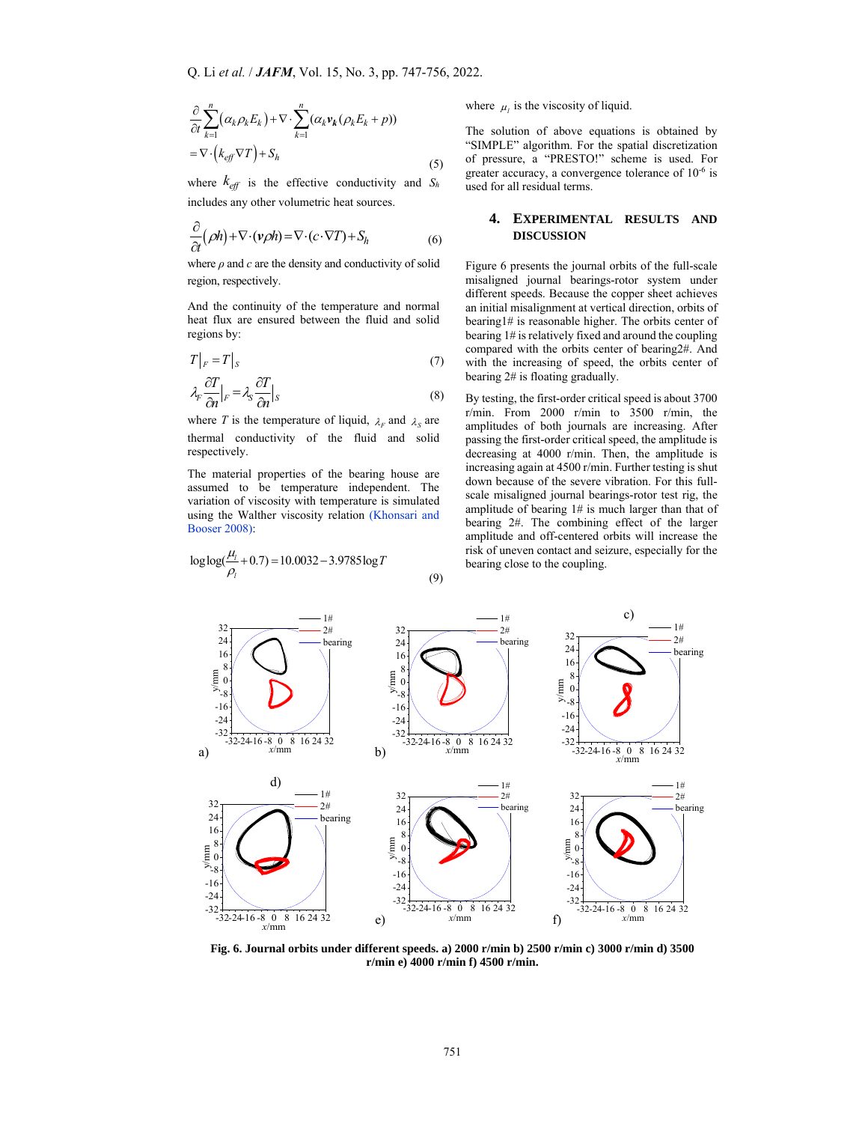$$
\frac{\partial}{\partial t} \sum_{k=1}^{n} (\alpha_k \rho_k E_k) + \nabla \cdot \sum_{k=1}^{n} (\alpha_k \mathbf{v}_k (\rho_k E_k + p))
$$
\n
$$
= \nabla \cdot (k_{\text{eff}} \nabla T) + S_h \tag{5}
$$

where  $k_{\text{eff}}$  is the effective conductivity and  $S_h$ includes any other volumetric heat sources.

$$
\frac{\partial}{\partial t}(\rho h) + \nabla \cdot (\nu \rho h) = \nabla \cdot (c \cdot \nabla T) + S_h \tag{6}
$$

where  $\rho$  and  $c$  are the density and conductivity of solid region, respectively.

And the continuity of the temperature and normal heat flux are ensured between the fluid and solid regions by:

$$
T|_{F} = T|_{S} \tag{7}
$$

$$
\lambda_r \frac{\partial T}{\partial n}|_F = \lambda_s \frac{\partial T}{\partial n}|_S \tag{8}
$$

where *T* is the temperature of liquid,  $\lambda_F$  and  $\lambda_S$  are thermal conductivity of the fluid and solid respectively.

The material properties of the bearing house are assumed to be temperature independent. The variation of viscosity with temperature is simulated using the Walther viscosity relation (Khonsari and Booser 2008):

$$
\log \log(\frac{\mu_1}{\rho_1} + 0.7) = 10.0032 - 3.9785 \log T
$$

where  $\mu_l$  is the viscosity of liquid.

The solution of above equations is obtained by "SIMPLE" algorithm. For the spatial discretization of pressure, a "PRESTO!" scheme is used. For greater accuracy, a convergence tolerance of 10-6 is used for all residual terms.

# **4. EXPERIMENTAL RESULTS AND DISCUSSION**

Figure 6 presents the journal orbits of the full-scale misaligned journal bearings-rotor system under different speeds. Because the copper sheet achieves an initial misalignment at vertical direction, orbits of bearing1# is reasonable higher. The orbits center of bearing 1# is relatively fixed and around the coupling compared with the orbits center of bearing2#. And with the increasing of speed, the orbits center of bearing 2# is floating gradually.

By testing, the first-order critical speed is about 3700 r/min. From 2000 r/min to  $3500$  r/min, the amplitudes of both journals are increasing. After passing the first-order critical speed, the amplitude is decreasing at 4000 r/min. Then, the amplitude is increasing again at 4500 r/min. Further testing is shut down because of the severe vibration. For this fullscale misaligned journal bearings-rotor test rig, the amplitude of bearing 1# is much larger than that of bearing 2#. The combining effect of the larger amplitude and off-centered orbits will increase the risk of uneven contact and seizure, especially for the bearing close to the coupling.



(9)

**Fig. 6. Journal orbits under different speeds. a) 2000 r/min b) 2500 r/min c) 3000 r/min d) 3500 r/min e) 4000 r/min f) 4500 r/min.**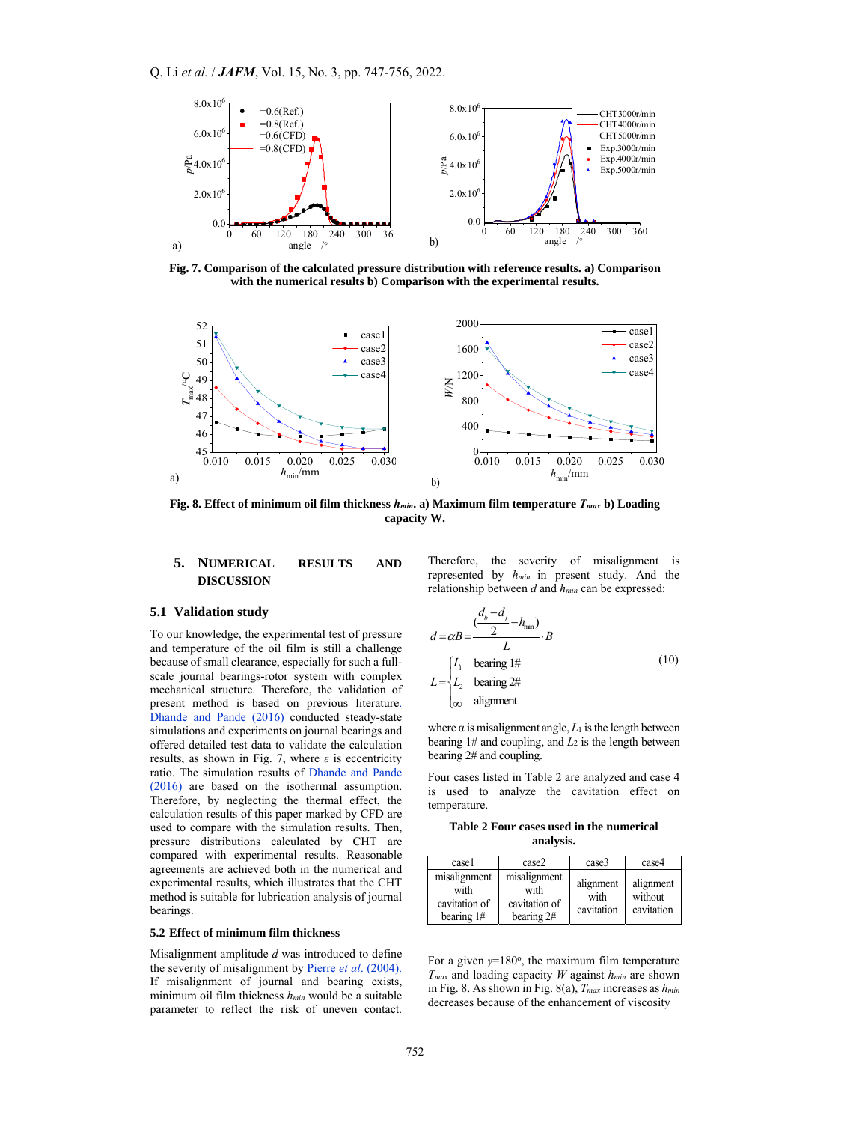

**Fig. 7. Comparison of the calculated pressure distribution with reference results. a) Comparison with the numerical results b) Comparison with the experimental results.** 



**Fig. 8. Effect of minimum oil film thickness** *hmin***. a) Maximum film temperature** *Tmax* **b) Loading capacity W.**

# **5. NUMERICAL RESULTS AND DISCUSSION**

#### **5.1 Validation study**

To our knowledge, the experimental test of pressure and temperature of the oil film is still a challenge because of small clearance, especially for such a fullscale journal bearings-rotor system with complex mechanical structure. Therefore, the validation of present method is based on previous literature. Dhande and Pande (2016) conducted steady-state simulations and experiments on journal bearings and offered detailed test data to validate the calculation results, as shown in Fig. 7, where *ε* is eccentricity ratio. The simulation results of Dhande and Pande (2016) are based on the isothermal assumption. Therefore, by neglecting the thermal effect, the calculation results of this paper marked by CFD are used to compare with the simulation results. Then, pressure distributions calculated by CHT are compared with experimental results. Reasonable agreements are achieved both in the numerical and experimental results, which illustrates that the CHT method is suitable for lubrication analysis of journal bearings.

## **5.2 Effect of minimum film thickness**

Misalignment amplitude *d* was introduced to define the severity of misalignment by Pierre *et al*. (2004). If misalignment of journal and bearing exists, minimum oil film thickness *hmin* would be a suitable parameter to reflect the risk of uneven contact.

Therefore, the severity of misalignment is represented by *hmin* in present study. And the relationship between *d* and *hmin* can be expressed:

$$
d = \alpha B = \frac{\left(\frac{d_b - d_j}{2} - h_{\text{min}}\right)}{L} \cdot B
$$
  
\n
$$
L = \begin{cases} L_1 & \text{ bearing 1#} \\ L_2 & \text{ bearing 2#} \\ \infty & \text{alignment} \end{cases} \tag{10}
$$

where  $\alpha$  is misalignment angle,  $L_1$  is the length between bearing  $1#$  and coupling, and  $L_2$  is the length between bearing 2# and coupling.

Four cases listed in Table 2 are analyzed and case 4 is used to analyze the cavitation effect on temperature.

#### **Table 2 Four cases used in the numerical analysis.**

| case1                                                 | case2                                               | case3                           | case4                              |
|-------------------------------------------------------|-----------------------------------------------------|---------------------------------|------------------------------------|
| misalignment<br>with<br>cavitation of<br>bearing $1#$ | misalignment<br>with<br>cavitation of<br>bearing 2# | alignment<br>with<br>cavitation | alignment<br>without<br>cavitation |

For a given  $\gamma = 180^\circ$ , the maximum film temperature *Tmax* and loading capacity *W* against *hmin* are shown in Fig. 8. As shown in Fig. 8(a), *Tmax* increases as *hmin* decreases because of the enhancement of viscosity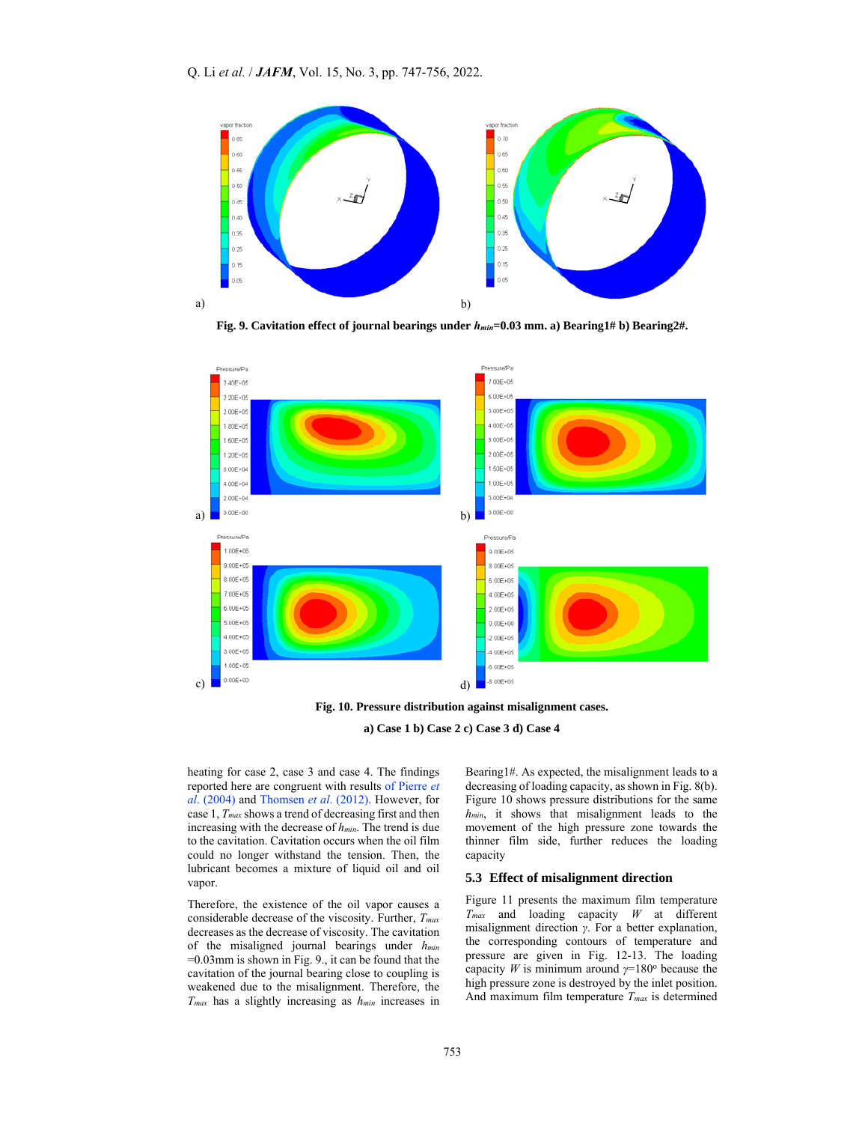

**Fig. 9. Cavitation effect of journal bearings under** *hmin***=0.03 mm. a) Bearing1# b) Bearing2#.** 



**Fig. 10. Pressure distribution against misalignment cases.** 



heating for case 2, case 3 and case 4. The findings reported here are congruent with results of Pierre *et al*. (2004) and Thomsen *et al*. (2012). However, for case 1, *Tmax* shows a trend of decreasing first and then increasing with the decrease of *hmin*. The trend is due to the cavitation. Cavitation occurs when the oil film could no longer withstand the tension. Then, the lubricant becomes a mixture of liquid oil and oil vapor.

Therefore, the existence of the oil vapor causes a considerable decrease of the viscosity. Further, *Tmax* decreases as the decrease of viscosity. The cavitation of the misaligned journal bearings under *hmin* =0.03mm is shown in Fig. 9., it can be found that the cavitation of the journal bearing close to coupling is weakened due to the misalignment. Therefore, the *Tmax* has a slightly increasing as *hmin* increases in Bearing1#. As expected, the misalignment leads to a decreasing of loading capacity, as shown in Fig. 8(b). Figure 10 shows pressure distributions for the same *hmin*, it shows that misalignment leads to the movement of the high pressure zone towards the thinner film side, further reduces the loading capacity

#### **5.3 Effect of misalignment direction**

Figure 11 presents the maximum film temperature *Tmax* and loading capacity *W* at different misalignment direction *γ*. For a better explanation, the corresponding contours of temperature and pressure are given in Fig. 12-13. The loading capacity *W* is minimum around  $\gamma = 180^\circ$  because the high pressure zone is destroyed by the inlet position. And maximum film temperature *Tmax* is determined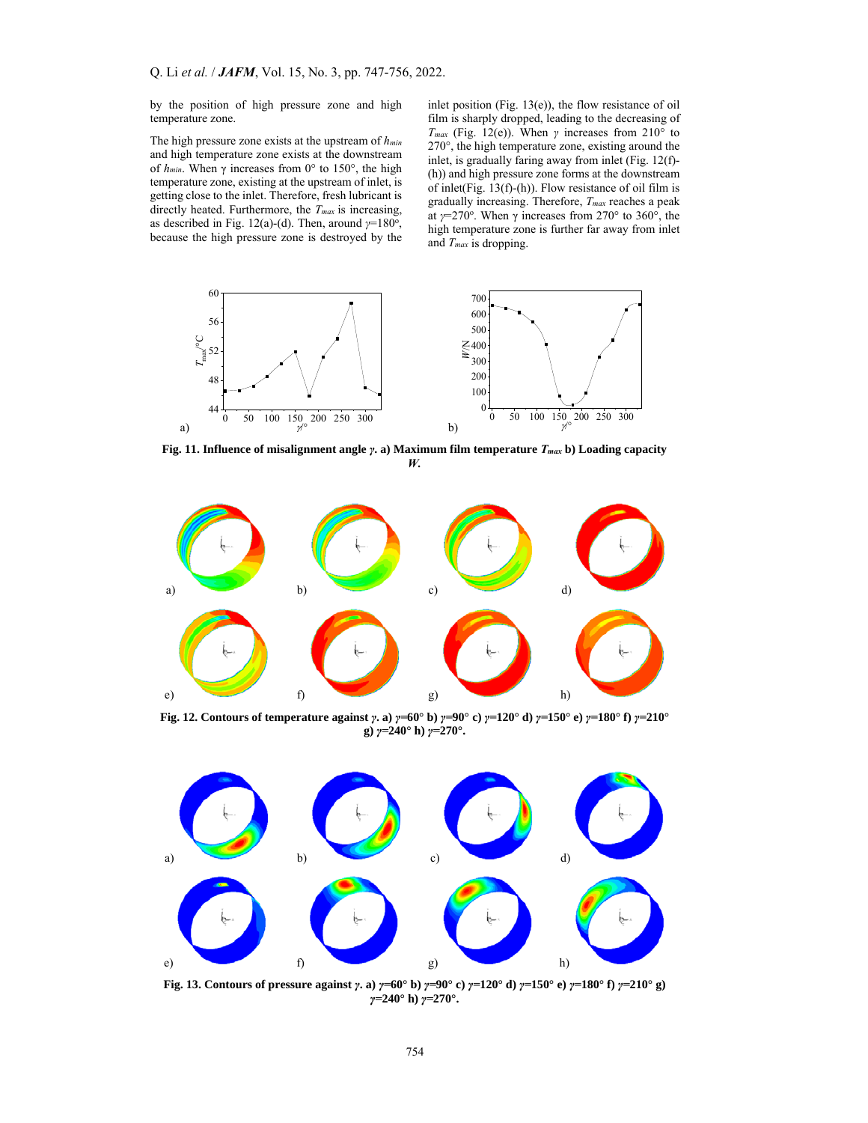by the position of high pressure zone and high temperature zone.

The high pressure zone exists at the upstream of *hmin* and high temperature zone exists at the downstream of *hmin*. When γ increases from 0° to 150°, the high temperature zone, existing at the upstream of inlet, is getting close to the inlet. Therefore, fresh lubricant is directly heated. Furthermore, the *Tmax* is increasing, as described in Fig. 12(a)-(d). Then, around  $γ=180°$ , because the high pressure zone is destroyed by the inlet position (Fig. 13(e)), the flow resistance of oil film is sharply dropped, leading to the decreasing of *Tmax* (Fig. 12(e)). When *γ* increases from 210° to 270°, the high temperature zone, existing around the inlet, is gradually faring away from inlet (Fig. 12(f)- (h)) and high pressure zone forms at the downstream of inlet(Fig. 13(f)-(h)). Flow resistance of oil film is gradually increasing. Therefore, *Tmax* reaches a peak at  $\gamma$ =270°. When  $\gamma$  increases from 270° to 360°, the high temperature zone is further far away from inlet and *Tmax* is dropping.



**Fig. 11. Influence of misalignment angle** *γ***. a) Maximum film temperature** *Tmax* **b) Loading capacity**  *W.* 



Fig. 12. Contours of temperature against  $\gamma$ . a)  $\gamma$ =60° b)  $\gamma$ =90° c)  $\gamma$ =120° d)  $\gamma$ =150° e)  $\gamma$ =180° f)  $\gamma$ =210° **g)** *γ=***240° h)** *γ=***270°.** 



Fig. 13. Contours of pressure against  $\gamma$ . a)  $\gamma = 60^{\circ}$  b)  $\gamma = 90^{\circ}$  c)  $\gamma = 120^{\circ}$  d)  $\gamma = 150^{\circ}$  e)  $\gamma = 180^{\circ}$  f)  $\gamma = 210^{\circ}$  g) *γ=***240° h)** *γ=***270°.**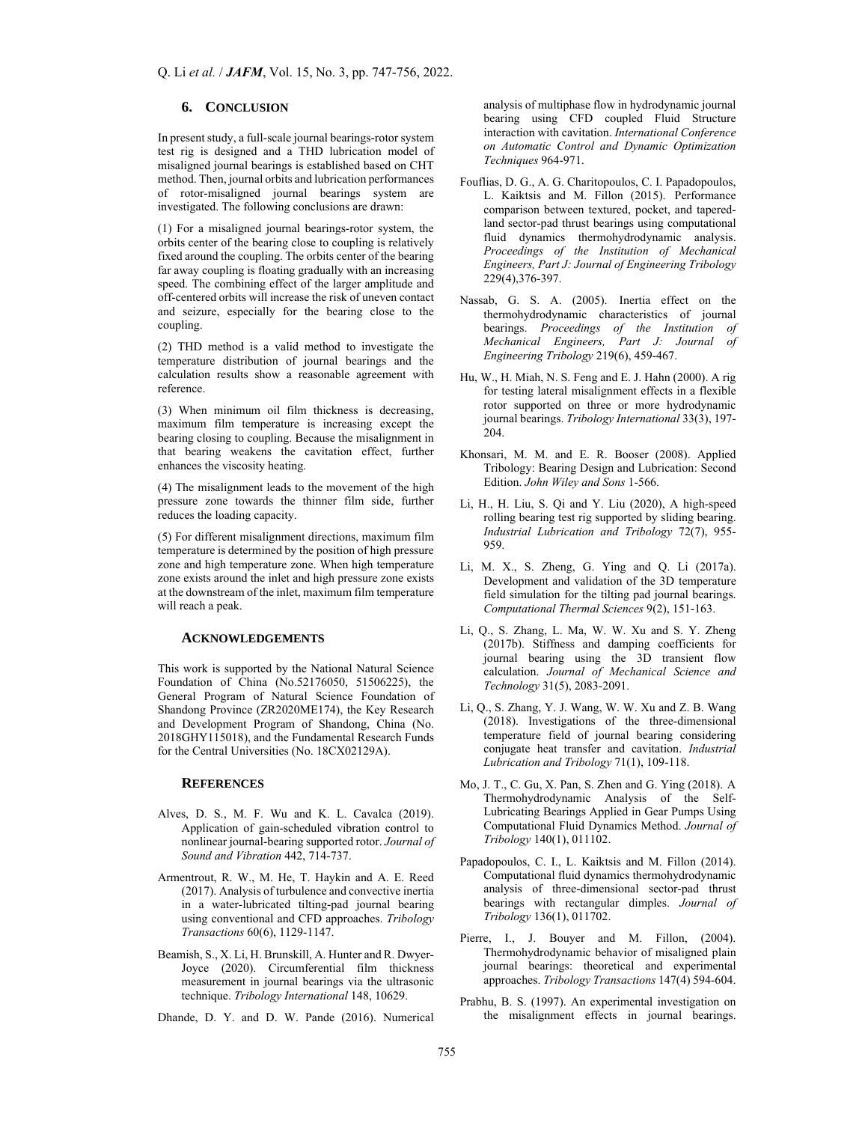## **6. CONCLUSION**

In present study, a full-scale journal bearings-rotor system test rig is designed and a THD lubrication model of misaligned journal bearings is established based on CHT method. Then, journal orbits and lubrication performances of rotor-misaligned journal bearings system are investigated. The following conclusions are drawn:

(1) For a misaligned journal bearings-rotor system, the orbits center of the bearing close to coupling is relatively fixed around the coupling. The orbits center of the bearing far away coupling is floating gradually with an increasing speed. The combining effect of the larger amplitude and off-centered orbits will increase the risk of uneven contact and seizure, especially for the bearing close to the coupling.

(2) THD method is a valid method to investigate the temperature distribution of journal bearings and the calculation results show a reasonable agreement with reference.

(3) When minimum oil film thickness is decreasing, maximum film temperature is increasing except the bearing closing to coupling. Because the misalignment in that bearing weakens the cavitation effect, further enhances the viscosity heating.

(4) The misalignment leads to the movement of the high pressure zone towards the thinner film side, further reduces the loading capacity.

(5) For different misalignment directions, maximum film temperature is determined by the position of high pressure zone and high temperature zone. When high temperature zone exists around the inlet and high pressure zone exists at the downstream of the inlet, maximum film temperature will reach a peak.

#### **ACKNOWLEDGEMENTS**

This work is supported by the National Natural Science Foundation of China (No.52176050, 51506225), the General Program of Natural Science Foundation of Shandong Province (ZR2020ME174), the Key Research and Development Program of Shandong, China (No. 2018GHY115018), and the Fundamental Research Funds for the Central Universities (No. 18CX02129A).

## **REFERENCES**

- Alves, D. S., M. F. Wu and K. L. Cavalca (2019). Application of gain-scheduled vibration control to nonlinear journal-bearing supported rotor. *Journal of Sound and Vibration* 442, 714-737.
- Armentrout, R. W., M. He, T. Haykin and A. E. Reed (2017). Analysis of turbulence and convective inertia in a water-lubricated tilting-pad journal bearing using conventional and CFD approaches. *Tribology Transactions* 60(6), 1129-1147.
- Beamish, S., X. Li, H. Brunskill, A. Hunter and R. Dwyer-Joyce (2020). Circumferential film thickness measurement in journal bearings via the ultrasonic technique. *Tribology International* 148, 10629.
- Dhande, D. Y. and D. W. Pande (2016). Numerical

analysis of multiphase flow in hydrodynamic journal bearing using CFD coupled Fluid Structure interaction with cavitation. *International Conference on Automatic Control and Dynamic Optimization Techniques* 964-971.

- Fouflias, D. G., A. G. Charitopoulos, C. I. Papadopoulos, L. Kaiktsis and M. Fillon (2015). Performance comparison between textured, pocket, and taperedland sector-pad thrust bearings using computational fluid dynamics thermohydrodynamic analysis. *Proceedings of the Institution of Mechanical Engineers, Part J: Journal of Engineering Tribology*  229(4),376-397.
- Nassab, G. S. A. (2005). Inertia effect on the thermohydrodynamic characteristics of journal bearings. *Proceedings of the Institution of Mechanical Engineers, Part J: Journal of Engineering Tribology* 219(6), 459-467.
- Hu, W., H. Miah, N. S. Feng and E. J. Hahn (2000). A rig for testing lateral misalignment effects in a flexible rotor supported on three or more hydrodynamic journal bearings. *Tribology International* 33(3), 197- 204.
- Khonsari, M. M. and E. R. Booser (2008). Applied Tribology: Bearing Design and Lubrication: Second Edition. *John Wiley and Sons* 1-566.
- Li, H., H. Liu, S. Qi and Y. Liu (2020), A high-speed rolling bearing test rig supported by sliding bearing. *Industrial Lubrication and Tribology* 72(7), 955- 959.
- Li, M. X., S. Zheng, G. Ying and Q. Li (2017a). Development and validation of the 3D temperature field simulation for the tilting pad journal bearings. *Computational Thermal Sciences* 9(2), 151-163.
- Li, Q., S. Zhang, L. Ma, W. W. Xu and S. Y. Zheng (2017b). Stiffness and damping coefficients for journal bearing using the 3D transient flow calculation. *Journal of Mechanical Science and Technology* 31(5), 2083-2091.
- Li, Q., S. Zhang, Y. J. Wang, W. W. Xu and Z. B. Wang (2018). Investigations of the three-dimensional temperature field of journal bearing considering conjugate heat transfer and cavitation. *Industrial Lubrication and Tribology* 71(1), 109-118.
- Mo, J. T., C. Gu, X. Pan, S. Zhen and G. Ying (2018). A Thermohydrodynamic Analysis of the Self-Lubricating Bearings Applied in Gear Pumps Using Computational Fluid Dynamics Method. *Journal of Tribology* 140(1), 011102.
- Papadopoulos, C. I., L. Kaiktsis and M. Fillon (2014). Computational fluid dynamics thermohydrodynamic analysis of three-dimensional sector-pad thrust bearings with rectangular dimples. *Journal of Tribology* 136(1), 011702.
- Pierre, I., J. Bouyer and M. Fillon, (2004). Thermohydrodynamic behavior of misaligned plain journal bearings: theoretical and experimental approaches. *Tribology Transactions* 147(4) 594-604.
- Prabhu, B. S. (1997). An experimental investigation on the misalignment effects in journal bearings.